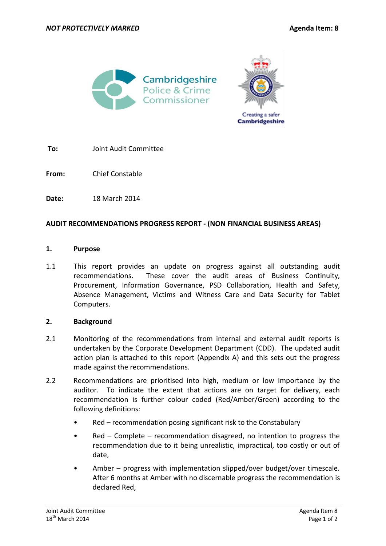



**To:** Joint Audit Committee

**From:** Chief Constable

**Date:** 18 March 2014

## **AUDIT RECOMMENDATIONS PROGRESS REPORT - (NON FINANCIAL BUSINESS AREAS)**

### **1. Purpose**

1.1 This report provides an update on progress against all outstanding audit recommendations. These cover the audit areas of Business Continuity, Procurement, Information Governance, PSD Collaboration, Health and Safety, Absence Management, Victims and Witness Care and Data Security for Tablet Computers.

### **2. Background**

- 2.1 Monitoring of the recommendations from internal and external audit reports is undertaken by the Corporate Development Department (CDD). The updated audit action plan is attached to this report (Appendix A) and this sets out the progress made against the recommendations.
- 2.2 Recommendations are prioritised into high, medium or low importance by the auditor. To indicate the extent that actions are on target for delivery, each recommendation is further colour coded (Red/Amber/Green) according to the following definitions:
	- Red recommendation posing significant risk to the Constabulary
	- Red Complete recommendation disagreed, no intention to progress the recommendation due to it being unrealistic, impractical, too costly or out of date,
	- Amber progress with implementation slipped/over budget/over timescale. After 6 months at Amber with no discernable progress the recommendation is declared Red,